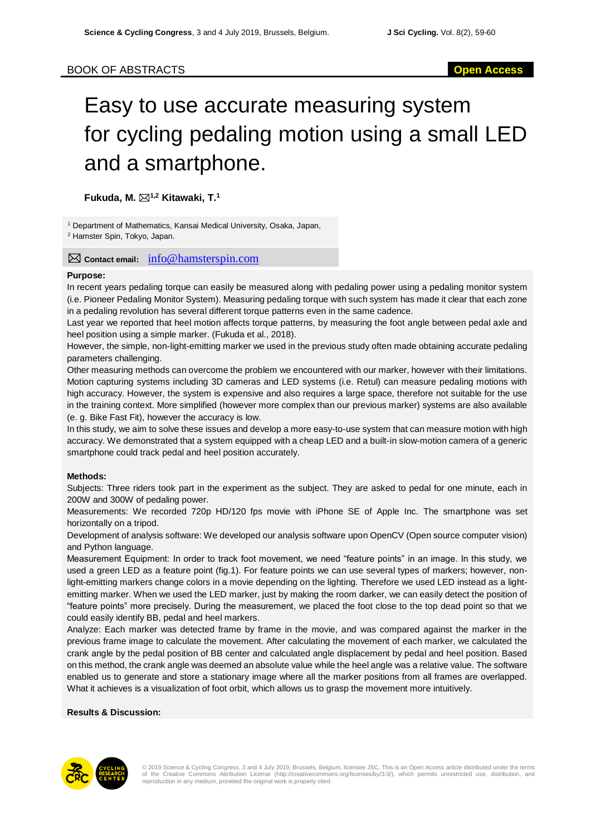# Easy to use accurate measuring system for cycling pedaling motion using a small LED and a smartphone.

**Fukuda, M. 1,2 Kitawaki, T.<sup>1</sup>**

<sup>1</sup> Department of Mathematics, Kansai Medical University, Osaka, Japan,

<sup>2</sup> Hamster Spin, Tokyo, Japan.

**Contact email:** info@hamsterspin.com

## **Purpose:**

In recent years pedaling torque can easily be measured along with pedaling power using a pedaling monitor system (i.e. Pioneer Pedaling Monitor System). Measuring pedaling torque with such system has made it clear that each zone in a pedaling revolution has several different torque patterns even in the same cadence.

Last year we reported that heel motion affects torque patterns, by measuring the foot angle between pedal axle and heel position using a simple marker. (Fukuda et al., 2018).

However, the simple, non-light-emitting marker we used in the previous study often made obtaining accurate pedaling parameters challenging.

Other measuring methods can overcome the problem we encountered with our marker, however with their limitations. Motion capturing systems including 3D cameras and LED systems (i.e. Retul) can measure pedaling motions with high accuracy. However, the system is expensive and also requires a large space, therefore not suitable for the use in the training context. More simplified (however more complex than our previous marker) systems are also available (e. g. Bike Fast Fit), however the accuracy is low.

In this study, we aim to solve these issues and develop a more easy-to-use system that can measure motion with high accuracy. We demonstrated that a system equipped with a cheap LED and a built-in slow-motion camera of a generic smartphone could track pedal and heel position accurately.

## **Methods:**

Subjects: Three riders took part in the experiment as the subject. They are asked to pedal for one minute, each in 200W and 300W of pedaling power.

Measurements: We recorded 720p HD/120 fps movie with iPhone SE of Apple Inc. The smartphone was set horizontally on a tripod.

Development of analysis software: We developed our analysis software upon OpenCV (Open source computer vision) and Python language.

Measurement Equipment: In order to track foot movement, we need "feature points" in an image. In this study, we used a green LED as a feature point (fig.1). For feature points we can use several types of markers; however, nonlight-emitting markers change colors in a movie depending on the lighting. Therefore we used LED instead as a lightemitting marker. When we used the LED marker, just by making the room darker, we can easily detect the position of "feature points" more precisely. During the measurement, we placed the foot close to the top dead point so that we could easily identify BB, pedal and heel markers.

Analyze: Each marker was detected frame by frame in the movie, and was compared against the marker in the previous frame image to calculate the movement. After calculating the movement of each marker, we calculated the crank angle by the pedal position of BB center and calculated angle displacement by pedal and heel position. Based on this method, the crank angle was deemed an absolute value while the heel angle was a relative value. The software enabled us to generate and store a stationary image where all the marker positions from all frames are overlapped. What it achieves is a visualization of foot orbit, which allows us to grasp the movement more intuitively.

## **Results & Discussion:**